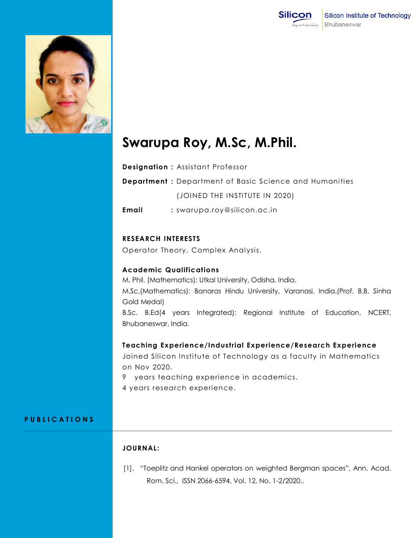



# **Swarupa Roy, M.Sc, M.Phil.**

**Designation :** Assistant Professor

**Department :** Department of Basic Science and Humanities (JOINED THE INSTITUTE IN 2020)

**Email :** swarupa.roy@silicon.ac.in

# **RESEARCH INTERESTS**

Operator Theory, Complex Analysis.

### **Academic Qualifications**

M. Phil. (Mathematics): Utkal University, Odisha, India.

M.Sc,(Mathematics): Banaras Hindu University, Varanasi, India.(Prof. B.B. Sinha Gold Medal)

B.Sc. B.Ed(4 years Integrated): Regional Institute of Education, NCERT, Bhubaneswar, India.

# **Teaching Experience/Industrial Experience/Research Experience**

Joined Silicon Institute of Technology as a faculty in Mathematics on Nov 2020.

- 9 years teaching experience in academics.
- 4 years research experience.

#### **P U B L I C A T I O N S**

# **JOURNAL:**

[1]. "Toeplitz and Hankel operators on weighted Bergman spaces", Ann. Acad. Rom. Sci., ISSN 2066-6594, Vol. 12, No. 1-2/2020..